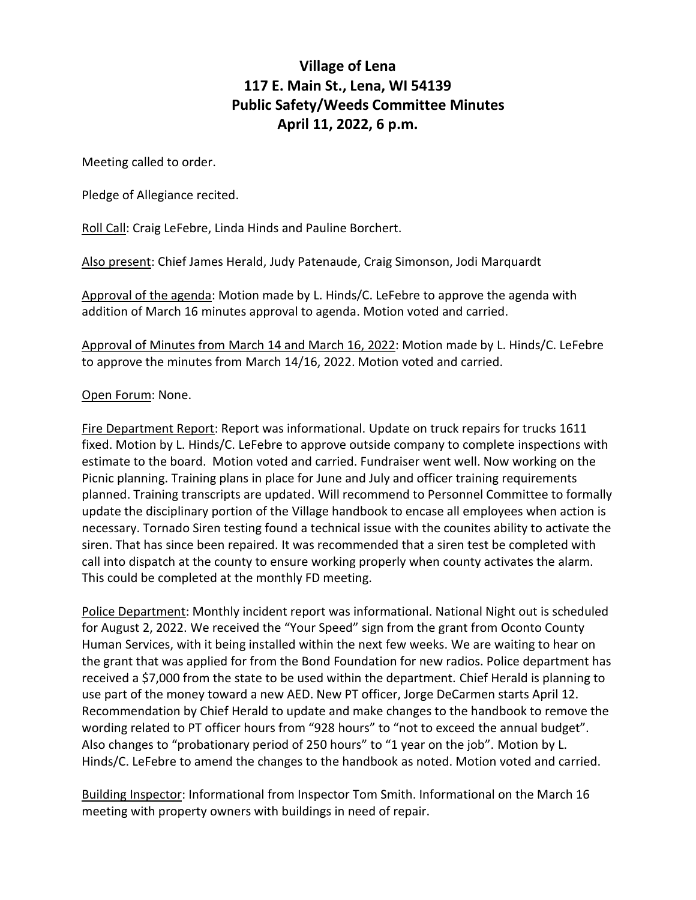## **Village of Lena 117 E. Main St., Lena, WI 54139 Public Safety/Weeds Committee Minutes April 11, 2022, 6 p.m.**

Meeting called to order.

Pledge of Allegiance recited.

Roll Call: Craig LeFebre, Linda Hinds and Pauline Borchert.

Also present: Chief James Herald, Judy Patenaude, Craig Simonson, Jodi Marquardt

Approval of the agenda: Motion made by L. Hinds/C. LeFebre to approve the agenda with addition of March 16 minutes approval to agenda. Motion voted and carried.

Approval of Minutes from March 14 and March 16, 2022: Motion made by L. Hinds/C. LeFebre to approve the minutes from March 14/16, 2022. Motion voted and carried.

## Open Forum: None.

Fire Department Report: Report was informational. Update on truck repairs for trucks 1611 fixed. Motion by L. Hinds/C. LeFebre to approve outside company to complete inspections with estimate to the board. Motion voted and carried. Fundraiser went well. Now working on the Picnic planning. Training plans in place for June and July and officer training requirements planned. Training transcripts are updated. Will recommend to Personnel Committee to formally update the disciplinary portion of the Village handbook to encase all employees when action is necessary. Tornado Siren testing found a technical issue with the counites ability to activate the siren. That has since been repaired. It was recommended that a siren test be completed with call into dispatch at the county to ensure working properly when county activates the alarm. This could be completed at the monthly FD meeting.

Police Department: Monthly incident report was informational. National Night out is scheduled for August 2, 2022. We received the "Your Speed" sign from the grant from Oconto County Human Services, with it being installed within the next few weeks. We are waiting to hear on the grant that was applied for from the Bond Foundation for new radios. Police department has received a \$7,000 from the state to be used within the department. Chief Herald is planning to use part of the money toward a new AED. New PT officer, Jorge DeCarmen starts April 12. Recommendation by Chief Herald to update and make changes to the handbook to remove the wording related to PT officer hours from "928 hours" to "not to exceed the annual budget". Also changes to "probationary period of 250 hours" to "1 year on the job". Motion by L. Hinds/C. LeFebre to amend the changes to the handbook as noted. Motion voted and carried.

Building Inspector: Informational from Inspector Tom Smith. Informational on the March 16 meeting with property owners with buildings in need of repair.